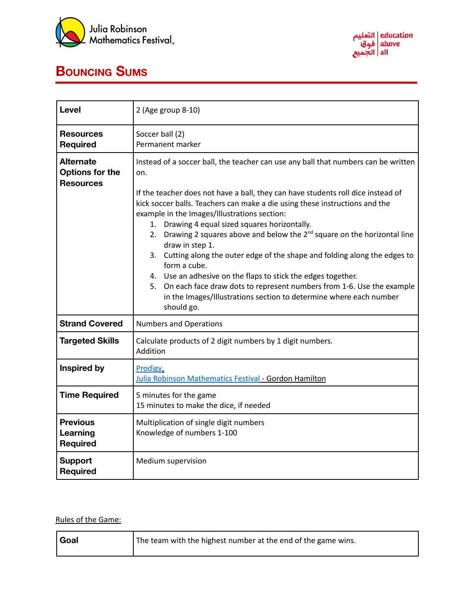



## **BOUNCING SUMS**

| Level                                                          | 2 (Age group 8-10)                                                                                                                                                                                                                                                                                                                                                                                                                                                                                                                                                                                                 |
|----------------------------------------------------------------|--------------------------------------------------------------------------------------------------------------------------------------------------------------------------------------------------------------------------------------------------------------------------------------------------------------------------------------------------------------------------------------------------------------------------------------------------------------------------------------------------------------------------------------------------------------------------------------------------------------------|
| <b>Resources</b><br><b>Required</b>                            | Soccer ball (2)<br>Permanent marker                                                                                                                                                                                                                                                                                                                                                                                                                                                                                                                                                                                |
| <b>Alternate</b><br><b>Options for the</b><br><b>Resources</b> | Instead of a soccer ball, the teacher can use any ball that numbers can be written<br>on.<br>If the teacher does not have a ball, they can have students roll dice instead of                                                                                                                                                                                                                                                                                                                                                                                                                                      |
|                                                                | kick soccer balls. Teachers can make a die using these instructions and the<br>example in the Images/Illustrations section:<br>1. Drawing 4 equal sized squares horizontally.<br>2. Drawing 2 squares above and below the $2^{nd}$ square on the horizontal line<br>draw in step 1.<br>3. Cutting along the outer edge of the shape and folding along the edges to<br>form a cube.<br>4. Use an adhesive on the flaps to stick the edges together.<br>5. On each face draw dots to represent numbers from 1-6. Use the example<br>in the Images/Illustrations section to determine where each number<br>should go. |
| <b>Strand Covered</b>                                          | <b>Numbers and Operations</b>                                                                                                                                                                                                                                                                                                                                                                                                                                                                                                                                                                                      |
| <b>Targeted Skills</b>                                         | Calculate products of 2 digit numbers by 1 digit numbers.<br>Addition                                                                                                                                                                                                                                                                                                                                                                                                                                                                                                                                              |
| <b>Inspired by</b>                                             | Prodigy,<br>Julia Robinson Mathematics Festival - Gordon Hamilton                                                                                                                                                                                                                                                                                                                                                                                                                                                                                                                                                  |
| <b>Time Required</b>                                           | 5 minutes for the game<br>15 minutes to make the dice, if needed                                                                                                                                                                                                                                                                                                                                                                                                                                                                                                                                                   |
| <b>Previous</b><br>Learning<br><b>Required</b>                 | Multiplication of single digit numbers<br>Knowledge of numbers 1-100                                                                                                                                                                                                                                                                                                                                                                                                                                                                                                                                               |
| <b>Support</b><br><b>Required</b>                              | Medium supervision                                                                                                                                                                                                                                                                                                                                                                                                                                                                                                                                                                                                 |

## Rules of the Game:

| <b>Goal</b> | The team with the highest number at the end of the game wins. |
|-------------|---------------------------------------------------------------|
|-------------|---------------------------------------------------------------|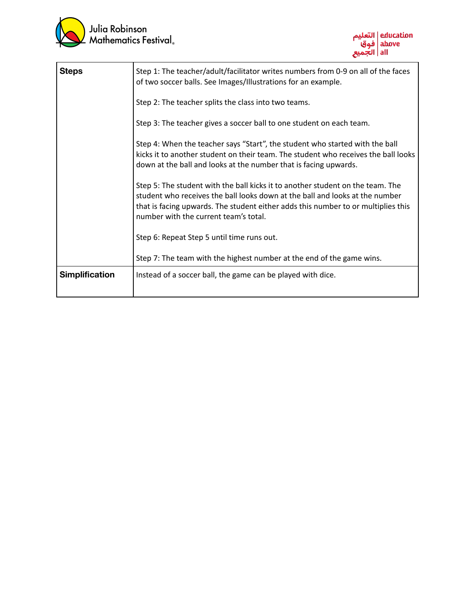



| <b>Steps</b>          | Step 1: The teacher/adult/facilitator writes numbers from 0-9 on all of the faces<br>of two soccer balls. See Images/Illustrations for an example.                                                                                                                                           |
|-----------------------|----------------------------------------------------------------------------------------------------------------------------------------------------------------------------------------------------------------------------------------------------------------------------------------------|
|                       | Step 2: The teacher splits the class into two teams.                                                                                                                                                                                                                                         |
|                       | Step 3: The teacher gives a soccer ball to one student on each team.                                                                                                                                                                                                                         |
|                       | Step 4: When the teacher says "Start", the student who started with the ball<br>kicks it to another student on their team. The student who receives the ball looks<br>down at the ball and looks at the number that is facing upwards.                                                       |
|                       | Step 5: The student with the ball kicks it to another student on the team. The<br>student who receives the ball looks down at the ball and looks at the number<br>that is facing upwards. The student either adds this number to or multiplies this<br>number with the current team's total. |
|                       | Step 6: Repeat Step 5 until time runs out.                                                                                                                                                                                                                                                   |
|                       | Step 7: The team with the highest number at the end of the game wins.                                                                                                                                                                                                                        |
| <b>Simplification</b> | Instead of a soccer ball, the game can be played with dice.                                                                                                                                                                                                                                  |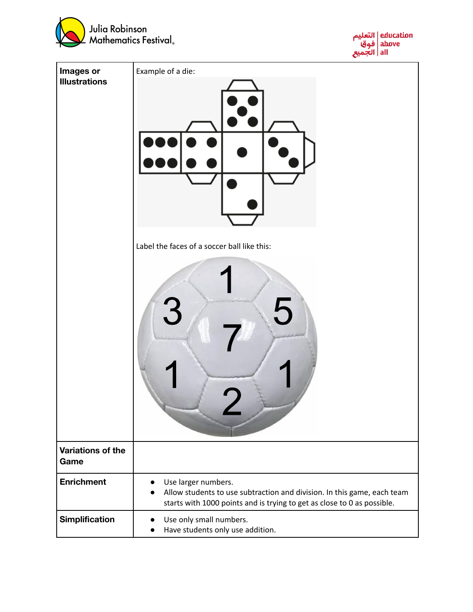



| Images or<br><b>Illustrations</b> | Example of a die:                                                                                                                                                                                   |
|-----------------------------------|-----------------------------------------------------------------------------------------------------------------------------------------------------------------------------------------------------|
|                                   | Label the faces of a soccer ball like this:<br>3                                                                                                                                                    |
| Variations of the<br>Game         |                                                                                                                                                                                                     |
| <b>Enrichment</b>                 | Use larger numbers.<br>$\bullet$<br>Allow students to use subtraction and division. In this game, each team<br>$\bullet$<br>starts with 1000 points and is trying to get as close to 0 as possible. |
| Simplification                    | Use only small numbers.<br>Have students only use addition.                                                                                                                                         |